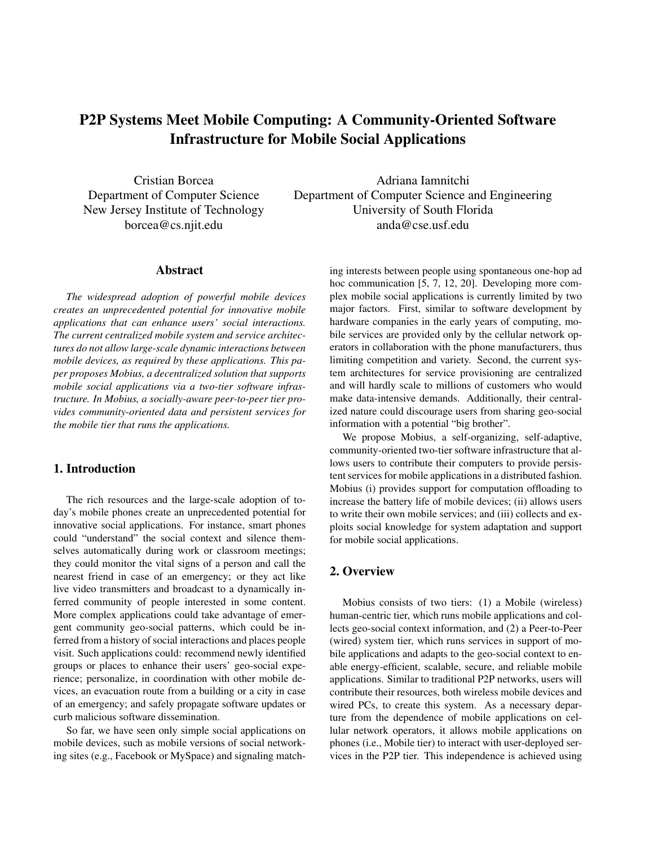# P2P Systems Meet Mobile Computing: A Community-Oriented Software Infrastructure for Mobile Social Applications

Cristian Borcea Department of Computer Science New Jersey Institute of Technology borcea@cs.njit.edu

#### Abstract

*The widespread adoption of powerful mobile devices creates an unprecedented potential for innovative mobile applications that can enhance users' social interactions. The current centralized mobile system and service architectures do not allow large-scale dynamic interactions between mobile devices, as required by these applications. This paper proposes Mobius, a decentralized solution that supports mobile social applications via a two-tier software infrastructure. In Mobius, a socially-aware peer-to-peer tier provides community-oriented data and persistent services for the mobile tier that runs the applications.*

## 1. Introduction

The rich resources and the large-scale adoption of today's mobile phones create an unprecedented potential for innovative social applications. For instance, smart phones could "understand" the social context and silence themselves automatically during work or classroom meetings; they could monitor the vital signs of a person and call the nearest friend in case of an emergency; or they act like live video transmitters and broadcast to a dynamically inferred community of people interested in some content. More complex applications could take advantage of emergent community geo-social patterns, which could be inferred from a history of social interactions and places people visit. Such applications could: recommend newly identified groups or places to enhance their users' geo-social experience; personalize, in coordination with other mobile devices, an evacuation route from a building or a city in case of an emergency; and safely propagate software updates or curb malicious software dissemination.

So far, we have seen only simple social applications on mobile devices, such as mobile versions of social networking sites (e.g., Facebook or MySpace) and signaling match-

Adriana Iamnitchi Department of Computer Science and Engineering University of South Florida anda@cse.usf.edu

> ing interests between people using spontaneous one-hop ad hoc communication [5, 7, 12, 20]. Developing more complex mobile social applications is currently limited by two major factors. First, similar to software development by hardware companies in the early years of computing, mobile services are provided only by the cellular network operators in collaboration with the phone manufacturers, thus limiting competition and variety. Second, the current system architectures for service provisioning are centralized and will hardly scale to millions of customers who would make data-intensive demands. Additionally, their centralized nature could discourage users from sharing geo-social information with a potential "big brother".

> We propose Mobius, a self-organizing, self-adaptive, community-oriented two-tier software infrastructure that allows users to contribute their computers to provide persistent services for mobile applications in a distributed fashion. Mobius (i) provides support for computation offloading to increase the battery life of mobile devices; (ii) allows users to write their own mobile services; and (iii) collects and exploits social knowledge for system adaptation and support for mobile social applications.

### 2. Overview

Mobius consists of two tiers: (1) a Mobile (wireless) human-centric tier, which runs mobile applications and collects geo-social context information, and (2) a Peer-to-Peer (wired) system tier, which runs services in support of mobile applications and adapts to the geo-social context to enable energy-efficient, scalable, secure, and reliable mobile applications. Similar to traditional P2P networks, users will contribute their resources, both wireless mobile devices and wired PCs, to create this system. As a necessary departure from the dependence of mobile applications on cellular network operators, it allows mobile applications on phones (i.e., Mobile tier) to interact with user-deployed services in the P2P tier. This independence is achieved using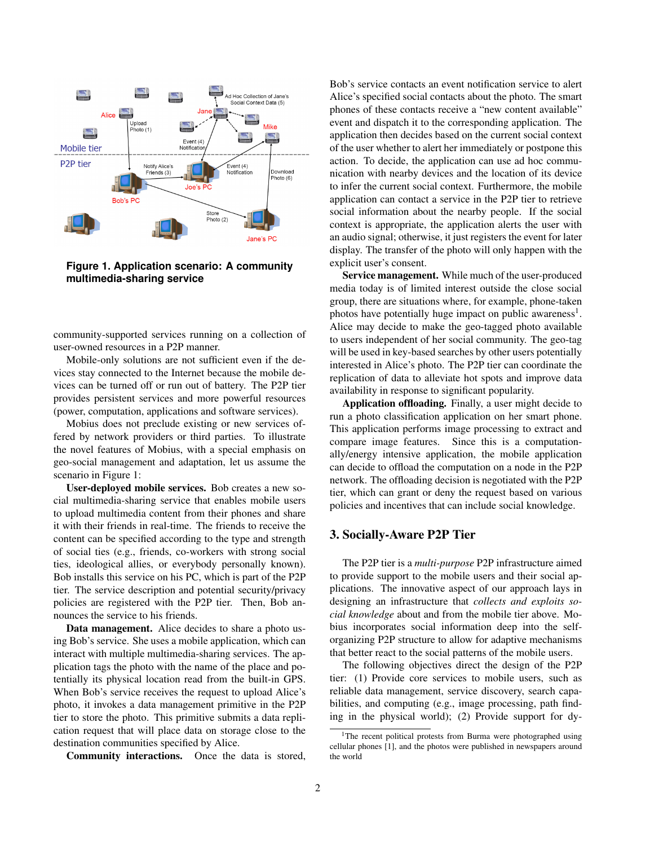

**Figure 1. Application scenario: A community multimedia-sharing service**

community-supported services running on a collection of user-owned resources in a P2P manner.

Mobile-only solutions are not sufficient even if the devices stay connected to the Internet because the mobile devices can be turned off or run out of battery. The P2P tier provides persistent services and more powerful resources (power, computation, applications and software services).

Mobius does not preclude existing or new services offered by network providers or third parties. To illustrate the novel features of Mobius, with a special emphasis on geo-social management and adaptation, let us assume the scenario in Figure 1:

User-deployed mobile services. Bob creates a new social multimedia-sharing service that enables mobile users to upload multimedia content from their phones and share it with their friends in real-time. The friends to receive the content can be specified according to the type and strength of social ties (e.g., friends, co-workers with strong social ties, ideological allies, or everybody personally known). Bob installs this service on his PC, which is part of the P2P tier. The service description and potential security/privacy policies are registered with the P2P tier. Then, Bob announces the service to his friends.

Data management. Alice decides to share a photo using Bob's service. She uses a mobile application, which can interact with multiple multimedia-sharing services. The application tags the photo with the name of the place and potentially its physical location read from the built-in GPS. When Bob's service receives the request to upload Alice's photo, it invokes a data management primitive in the P2P tier to store the photo. This primitive submits a data replication request that will place data on storage close to the destination communities specified by Alice.

Community interactions. Once the data is stored,

Bob's service contacts an event notification service to alert Alice's specified social contacts about the photo. The smart phones of these contacts receive a "new content available" event and dispatch it to the corresponding application. The application then decides based on the current social context of the user whether to alert her immediately or postpone this action. To decide, the application can use ad hoc communication with nearby devices and the location of its device to infer the current social context. Furthermore, the mobile application can contact a service in the P2P tier to retrieve social information about the nearby people. If the social context is appropriate, the application alerts the user with an audio signal; otherwise, it just registers the event for later display. The transfer of the photo will only happen with the explicit user's consent.

Service management. While much of the user-produced media today is of limited interest outside the close social group, there are situations where, for example, phone-taken photos have potentially huge impact on public awareness<sup>1</sup>. Alice may decide to make the geo-tagged photo available to users independent of her social community. The geo-tag will be used in key-based searches by other users potentially interested in Alice's photo. The P2P tier can coordinate the replication of data to alleviate hot spots and improve data availability in response to significant popularity.

Application offloading. Finally, a user might decide to run a photo classification application on her smart phone. This application performs image processing to extract and compare image features. Since this is a computationally/energy intensive application, the mobile application can decide to offload the computation on a node in the P2P network. The offloading decision is negotiated with the P2P tier, which can grant or deny the request based on various policies and incentives that can include social knowledge.

#### 3. Socially-Aware P2P Tier

The P2P tier is a *multi-purpose* P2P infrastructure aimed to provide support to the mobile users and their social applications. The innovative aspect of our approach lays in designing an infrastructure that *collects and exploits social knowledge* about and from the mobile tier above. Mobius incorporates social information deep into the selforganizing P2P structure to allow for adaptive mechanisms that better react to the social patterns of the mobile users.

The following objectives direct the design of the P2P tier: (1) Provide core services to mobile users, such as reliable data management, service discovery, search capabilities, and computing (e.g., image processing, path finding in the physical world); (2) Provide support for dy-

<sup>&</sup>lt;sup>1</sup>The recent political protests from Burma were photographed using cellular phones [1], and the photos were published in newspapers around the world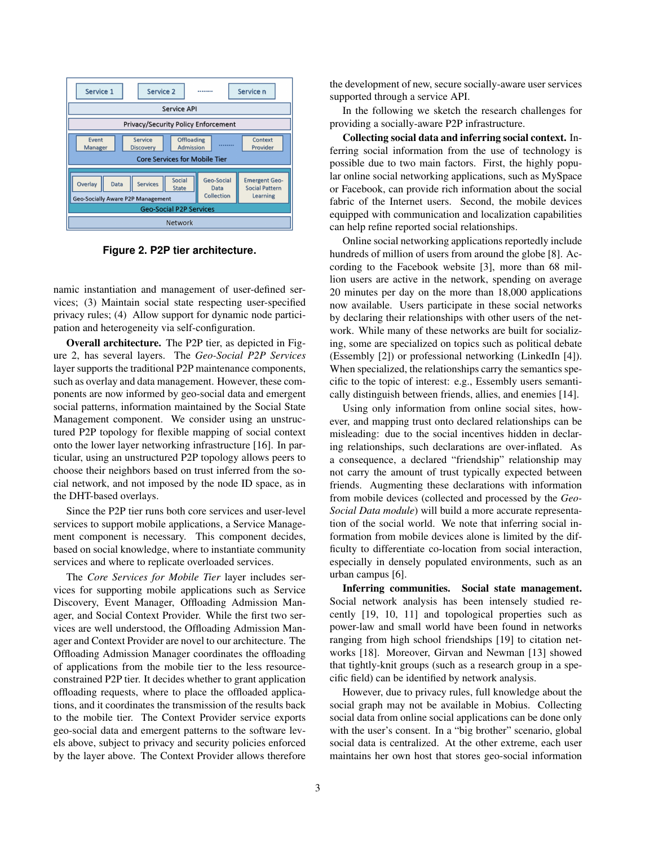

**Figure 2. P2P tier architecture.**

namic instantiation and management of user-defined services; (3) Maintain social state respecting user-specified privacy rules; (4) Allow support for dynamic node participation and heterogeneity via self-configuration.

Overall architecture. The P2P tier, as depicted in Figure 2, has several layers. The *Geo-Social P2P Services* layer supports the traditional P2P maintenance components, such as overlay and data management. However, these components are now informed by geo-social data and emergent social patterns, information maintained by the Social State Management component. We consider using an unstructured P2P topology for flexible mapping of social context onto the lower layer networking infrastructure [16]. In particular, using an unstructured P2P topology allows peers to choose their neighbors based on trust inferred from the social network, and not imposed by the node ID space, as in the DHT-based overlays.

Since the P2P tier runs both core services and user-level services to support mobile applications, a Service Management component is necessary. This component decides, based on social knowledge, where to instantiate community services and where to replicate overloaded services.

The *Core Services for Mobile Tier* layer includes services for supporting mobile applications such as Service Discovery, Event Manager, Offloading Admission Manager, and Social Context Provider. While the first two services are well understood, the Offloading Admission Manager and Context Provider are novel to our architecture. The Offloading Admission Manager coordinates the offloading of applications from the mobile tier to the less resourceconstrained P2P tier. It decides whether to grant application offloading requests, where to place the offloaded applications, and it coordinates the transmission of the results back to the mobile tier. The Context Provider service exports geo-social data and emergent patterns to the software levels above, subject to privacy and security policies enforced by the layer above. The Context Provider allows therefore the development of new, secure socially-aware user services supported through a service API.

In the following we sketch the research challenges for providing a socially-aware P2P infrastructure.

Collecting social data and inferring social context. Inferring social information from the use of technology is possible due to two main factors. First, the highly popular online social networking applications, such as MySpace or Facebook, can provide rich information about the social fabric of the Internet users. Second, the mobile devices equipped with communication and localization capabilities can help refine reported social relationships.

Online social networking applications reportedly include hundreds of million of users from around the globe [8]. According to the Facebook website [3], more than 68 million users are active in the network, spending on average 20 minutes per day on the more than 18,000 applications now available. Users participate in these social networks by declaring their relationships with other users of the network. While many of these networks are built for socializing, some are specialized on topics such as political debate (Essembly [2]) or professional networking (LinkedIn [4]). When specialized, the relationships carry the semantics specific to the topic of interest: e.g., Essembly users semantically distinguish between friends, allies, and enemies [14].

Using only information from online social sites, however, and mapping trust onto declared relationships can be misleading: due to the social incentives hidden in declaring relationships, such declarations are over-inflated. As a consequence, a declared "friendship" relationship may not carry the amount of trust typically expected between friends. Augmenting these declarations with information from mobile devices (collected and processed by the *Geo-Social Data module*) will build a more accurate representation of the social world. We note that inferring social information from mobile devices alone is limited by the difficulty to differentiate co-location from social interaction, especially in densely populated environments, such as an urban campus [6].

Inferring communities. Social state management. Social network analysis has been intensely studied recently [19, 10, 11] and topological properties such as power-law and small world have been found in networks ranging from high school friendships [19] to citation networks [18]. Moreover, Girvan and Newman [13] showed that tightly-knit groups (such as a research group in a specific field) can be identified by network analysis.

However, due to privacy rules, full knowledge about the social graph may not be available in Mobius. Collecting social data from online social applications can be done only with the user's consent. In a "big brother" scenario, global social data is centralized. At the other extreme, each user maintains her own host that stores geo-social information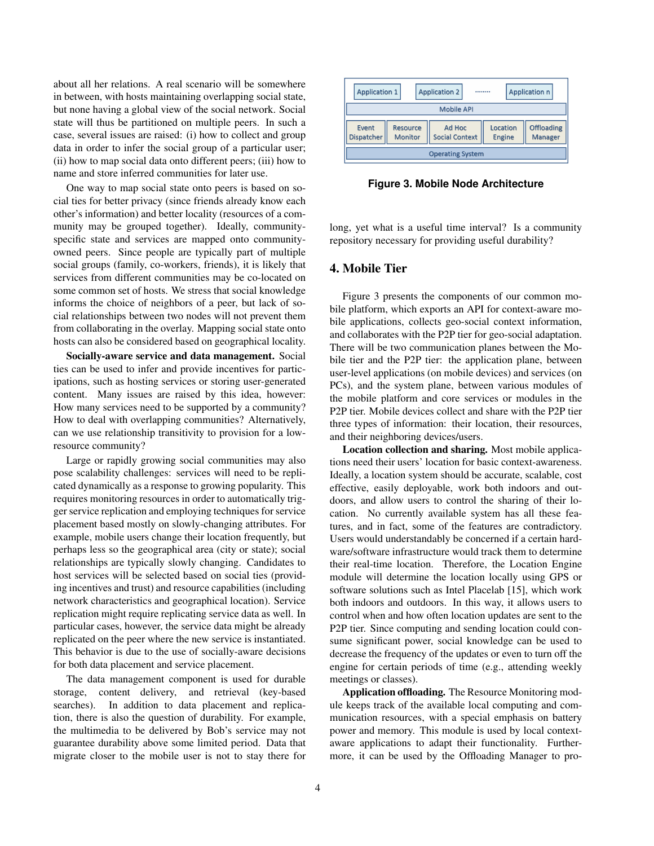about all her relations. A real scenario will be somewhere in between, with hosts maintaining overlapping social state, but none having a global view of the social network. Social state will thus be partitioned on multiple peers. In such a case, several issues are raised: (i) how to collect and group data in order to infer the social group of a particular user; (ii) how to map social data onto different peers; (iii) how to name and store inferred communities for later use.

One way to map social state onto peers is based on social ties for better privacy (since friends already know each other's information) and better locality (resources of a community may be grouped together). Ideally, communityspecific state and services are mapped onto communityowned peers. Since people are typically part of multiple social groups (family, co-workers, friends), it is likely that services from different communities may be co-located on some common set of hosts. We stress that social knowledge informs the choice of neighbors of a peer, but lack of social relationships between two nodes will not prevent them from collaborating in the overlay. Mapping social state onto hosts can also be considered based on geographical locality.

Socially-aware service and data management. Social ties can be used to infer and provide incentives for participations, such as hosting services or storing user-generated content. Many issues are raised by this idea, however: How many services need to be supported by a community? How to deal with overlapping communities? Alternatively, can we use relationship transitivity to provision for a lowresource community?

Large or rapidly growing social communities may also pose scalability challenges: services will need to be replicated dynamically as a response to growing popularity. This requires monitoring resources in order to automatically trigger service replication and employing techniques for service placement based mostly on slowly-changing attributes. For example, mobile users change their location frequently, but perhaps less so the geographical area (city or state); social relationships are typically slowly changing. Candidates to host services will be selected based on social ties (providing incentives and trust) and resource capabilities (including network characteristics and geographical location). Service replication might require replicating service data as well. In particular cases, however, the service data might be already replicated on the peer where the new service is instantiated. This behavior is due to the use of socially-aware decisions for both data placement and service placement.

The data management component is used for durable storage, content delivery, and retrieval (key-based searches). In addition to data placement and replication, there is also the question of durability. For example, the multimedia to be delivered by Bob's service may not guarantee durability above some limited period. Data that migrate closer to the mobile user is not to stay there for



**Figure 3. Mobile Node Architecture**

long, yet what is a useful time interval? Is a community repository necessary for providing useful durability?

#### 4. Mobile Tier

Figure 3 presents the components of our common mobile platform, which exports an API for context-aware mobile applications, collects geo-social context information, and collaborates with the P2P tier for geo-social adaptation. There will be two communication planes between the Mobile tier and the P2P tier: the application plane, between user-level applications (on mobile devices) and services (on PCs), and the system plane, between various modules of the mobile platform and core services or modules in the P2P tier. Mobile devices collect and share with the P2P tier three types of information: their location, their resources, and their neighboring devices/users.

Location collection and sharing. Most mobile applications need their users' location for basic context-awareness. Ideally, a location system should be accurate, scalable, cost effective, easily deployable, work both indoors and outdoors, and allow users to control the sharing of their location. No currently available system has all these features, and in fact, some of the features are contradictory. Users would understandably be concerned if a certain hardware/software infrastructure would track them to determine their real-time location. Therefore, the Location Engine module will determine the location locally using GPS or software solutions such as Intel Placelab [15], which work both indoors and outdoors. In this way, it allows users to control when and how often location updates are sent to the P2P tier. Since computing and sending location could consume significant power, social knowledge can be used to decrease the frequency of the updates or even to turn off the engine for certain periods of time (e.g., attending weekly meetings or classes).

Application offloading. The Resource Monitoring module keeps track of the available local computing and communication resources, with a special emphasis on battery power and memory. This module is used by local contextaware applications to adapt their functionality. Furthermore, it can be used by the Offloading Manager to pro-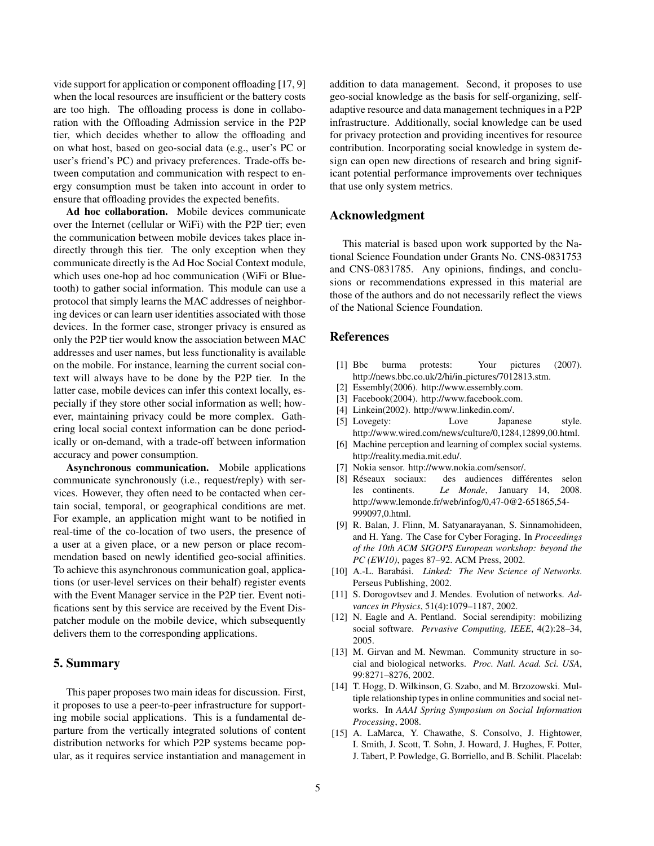vide support for application or component offloading [17, 9] when the local resources are insufficient or the battery costs are too high. The offloading process is done in collaboration with the Offloading Admission service in the P2P tier, which decides whether to allow the offloading and on what host, based on geo-social data (e.g., user's PC or user's friend's PC) and privacy preferences. Trade-offs between computation and communication with respect to energy consumption must be taken into account in order to ensure that offloading provides the expected benefits.

Ad hoc collaboration. Mobile devices communicate over the Internet (cellular or WiFi) with the P2P tier; even the communication between mobile devices takes place indirectly through this tier. The only exception when they communicate directly is the Ad Hoc Social Context module, which uses one-hop ad hoc communication (WiFi or Bluetooth) to gather social information. This module can use a protocol that simply learns the MAC addresses of neighboring devices or can learn user identities associated with those devices. In the former case, stronger privacy is ensured as only the P2P tier would know the association between MAC addresses and user names, but less functionality is available on the mobile. For instance, learning the current social context will always have to be done by the P2P tier. In the latter case, mobile devices can infer this context locally, especially if they store other social information as well; however, maintaining privacy could be more complex. Gathering local social context information can be done periodically or on-demand, with a trade-off between information accuracy and power consumption.

Asynchronous communication. Mobile applications communicate synchronously (i.e., request/reply) with services. However, they often need to be contacted when certain social, temporal, or geographical conditions are met. For example, an application might want to be notified in real-time of the co-location of two users, the presence of a user at a given place, or a new person or place recommendation based on newly identified geo-social affinities. To achieve this asynchronous communication goal, applications (or user-level services on their behalf) register events with the Event Manager service in the P2P tier. Event notifications sent by this service are received by the Event Dispatcher module on the mobile device, which subsequently delivers them to the corresponding applications.

#### 5. Summary

This paper proposes two main ideas for discussion. First, it proposes to use a peer-to-peer infrastructure for supporting mobile social applications. This is a fundamental departure from the vertically integrated solutions of content distribution networks for which P2P systems became popular, as it requires service instantiation and management in addition to data management. Second, it proposes to use geo-social knowledge as the basis for self-organizing, selfadaptive resource and data management techniques in a P2P infrastructure. Additionally, social knowledge can be used for privacy protection and providing incentives for resource contribution. Incorporating social knowledge in system design can open new directions of research and bring significant potential performance improvements over techniques that use only system metrics.

#### Acknowledgment

This material is based upon work supported by the National Science Foundation under Grants No. CNS-0831753 and CNS-0831785. Any opinions, findings, and conclusions or recommendations expressed in this material are those of the authors and do not necessarily reflect the views of the National Science Foundation.

#### References

- [1] Bbc burma protests: Your pictures (2007). http://news.bbc.co.uk/2/hi/in pictures/7012813.stm.
- [2] Essembly(2006). http://www.essembly.com.
- [3] Facebook(2004). http://www.facebook.com.
- [4] Linkein(2002). http://www.linkedin.com/.
- [5] Lovegety: Love Japanese style. http://www.wired.com/news/culture/0,1284,12899,00.html.
- [6] Machine perception and learning of complex social systems. http://reality.media.mit.edu/.
- [7] Nokia sensor. http://www.nokia.com/sensor/.
- [8] Réseaux sociaux: des audiences différentes selon les continents. *Le Monde*, January 14, 2008. http://www.lemonde.fr/web/infog/0,47-0@2-651865,54- 999097,0.html.
- [9] R. Balan, J. Flinn, M. Satyanarayanan, S. Sinnamohideen, and H. Yang. The Case for Cyber Foraging. In *Proceedings of the 10th ACM SIGOPS European workshop: beyond the PC (EW10)*, pages 87–92. ACM Press, 2002.
- [10] A.-L. Barabási. *Linked: The New Science of Networks*. Perseus Publishing, 2002.
- [11] S. Dorogovtsev and J. Mendes. Evolution of networks. *Advances in Physics*, 51(4):1079–1187, 2002.
- [12] N. Eagle and A. Pentland. Social serendipity: mobilizing social software. *Pervasive Computing, IEEE*, 4(2):28–34, 2005.
- [13] M. Girvan and M. Newman. Community structure in social and biological networks. *Proc. Natl. Acad. Sci. USA*, 99:8271–8276, 2002.
- [14] T. Hogg, D. Wilkinson, G. Szabo, and M. Brzozowski. Multiple relationship types in online communities and social networks. In *AAAI Spring Symposium on Social Information Processing*, 2008.
- [15] A. LaMarca, Y. Chawathe, S. Consolvo, J. Hightower, I. Smith, J. Scott, T. Sohn, J. Howard, J. Hughes, F. Potter, J. Tabert, P. Powledge, G. Borriello, and B. Schilit. Placelab: